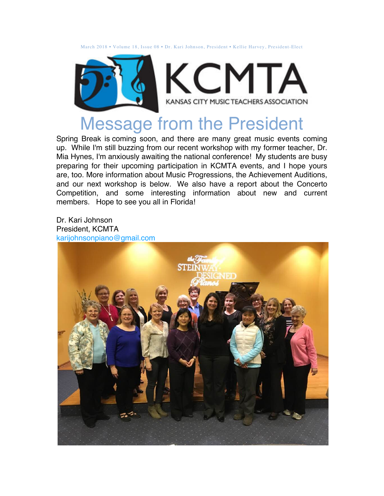March 2018 • Volume 18, Issue 08 • Dr. Kari Johnson, President • Kellie Harvey, President-Elect



# Message from the President

Spring Break is coming soon, and there are many great music events coming up. While I'm still buzzing from our recent workshop with my former teacher, Dr. Mia Hynes, I'm anxiously awaiting the national conference! My students are busy preparing for their upcoming participation in KCMTA events, and I hope yours are, too. More information about Music Progressions, the Achievement Auditions, and our next workshop is below. We also have a report about the Concerto Competition, and some interesting information about new and current members. Hope to see you all in Florida!

Dr. Kari Johnson President, KCMTA karijohnsonpiano@gmail.com

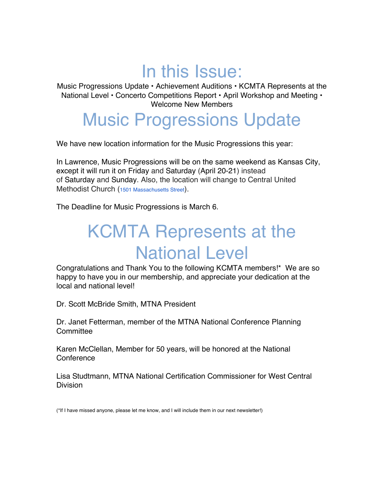# In this Issue:

Music Progressions Update • Achievement Auditions • KCMTA Represents at the National Level • Concerto Competitions Report • April Workshop and Meeting • Welcome New Members

### Music Progressions Update

We have new location information for the Music Progressions this year:

In Lawrence, Music Progressions will be on the same weekend as Kansas City, except it will run it on Friday and Saturday (April 20-21) instead of Saturday and Sunday. Also, the location will change to Central United Methodist Church (1501 Massachusetts Street).

The Deadline for Music Progressions is March 6.

# KCMTA Represents at the National Level

Congratulations and Thank You to the following KCMTA members!\* We are so happy to have you in our membership, and appreciate your dedication at the local and national level!

Dr. Scott McBride Smith, MTNA President

Dr. Janet Fetterman, member of the MTNA National Conference Planning **Committee** 

Karen McClellan, Member for 50 years, will be honored at the National **Conference** 

Lisa Studtmann, MTNA National Certification Commissioner for West Central **Division** 

(\*If I have missed anyone, please let me know, and I will include them in our next newsletter!)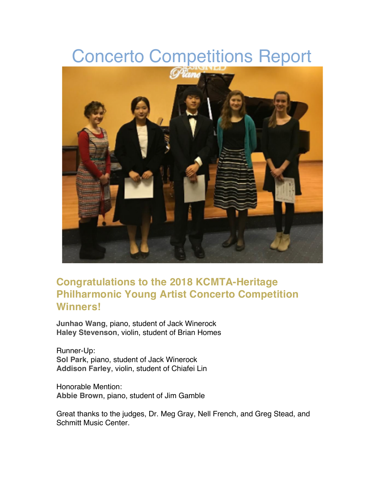## Concerto Competitions Report



#### **Congratulations to the 2018 KCMTA-Heritage Philharmonic Young Artist Concerto Competition Winners!**

**Junhao Wang**, piano, student of Jack Winerock **Haley Stevenson**, violin, student of Brian Homes

Runner-Up: **Sol Park**, piano, student of Jack Winerock **Addison Farley**, violin, student of Chiafei Lin

Honorable Mention: **Abbie Brown**, piano, student of Jim Gamble

Great thanks to the judges, Dr. Meg Gray, Nell French, and Greg Stead, and Schmitt Music Center.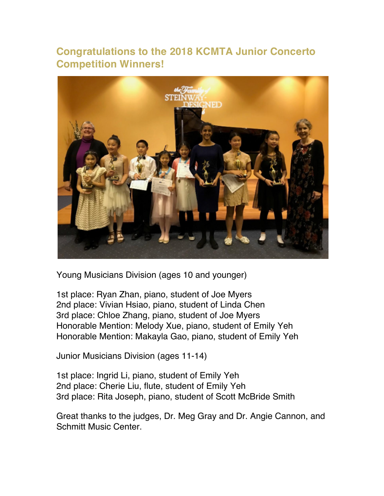#### **Congratulations to the 2018 KCMTA Junior Concerto Competition Winners!**



Young Musicians Division (ages 10 and younger)

1st place: Ryan Zhan, piano, student of Joe Myers 2nd place: Vivian Hsiao, piano, student of Linda Chen 3rd place: Chloe Zhang, piano, student of Joe Myers Honorable Mention: Melody Xue, piano, student of Emily Yeh Honorable Mention: Makayla Gao, piano, student of Emily Yeh

Junior Musicians Division (ages 11-14)

1st place: Ingrid Li, piano, student of Emily Yeh 2nd place: Cherie Liu, flute, student of Emily Yeh 3rd place: Rita Joseph, piano, student of Scott McBride Smith

Great thanks to the judges, Dr. Meg Gray and Dr. Angie Cannon, and Schmitt Music Center.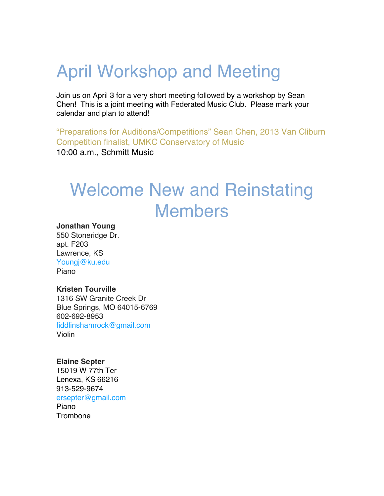# April Workshop and Meeting

Join us on April 3 for a very short meeting followed by a workshop by Sean Chen! This is a joint meeting with Federated Music Club. Please mark your calendar and plan to attend!

"Preparations for Auditions/Competitions" Sean Chen, 2013 Van Cliburn Competition finalist, UMKC Conservatory of Music 10:00 a.m., Schmitt Music

# Welcome New and Reinstating Members

#### **Jonathan Young**

550 Stoneridge Dr. apt. F203 Lawrence, KS Youngj@ku.edu Piano

#### **Kristen Tourville**

1316 SW Granite Creek Dr Blue Springs, MO 64015-6769 602-692-8953 fiddlinshamrock@gmail.com Violin

#### **Elaine Septer**

15019 W 77th Ter Lenexa, KS 66216 913-529-9674 ersepter@gmail.com Piano **Trombone**